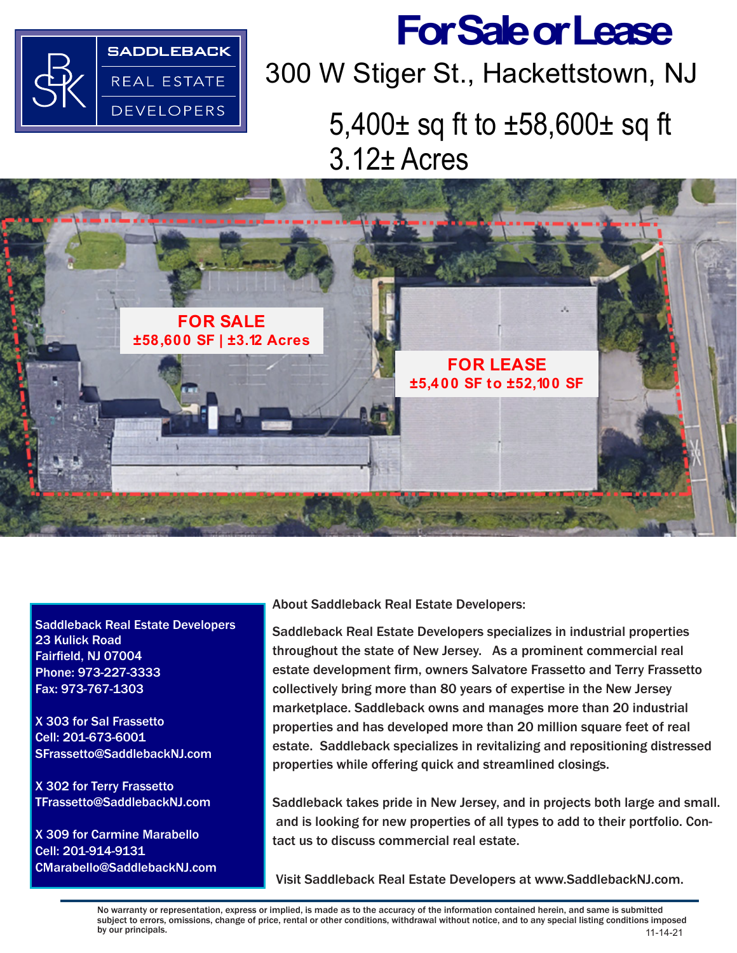

# **For Sale or Lease**

### 300 W Stiger St., Hackettstown, NJ

## 5,400± sq ft to ±58,600± sq ft 3.12± Acres



Saddleback Real Estate Developers 23 Kulick Road Fairfield, NJ 07004 Phone: 973-227-3333 Fax: 973-767-1303

X 303 for Sal Frassetto Cell: 201-673-6001 SFrassetto@SaddlebackNJ.com

X 302 for Terry Frassetto TFrassetto@SaddlebackNJ.com

X 309 for Carmine Marabello Cell: 201-914-9131 CMarabello@SaddlebackNJ.com About Saddleback Real Estate Developers:

Saddleback Real Estate Developers specializes in industrial properties throughout the state of New Jersey. As a prominent commercial real estate development firm, owners Salvatore Frassetto and Terry Frassetto collectively bring more than 80 years of expertise in the New Jersey marketplace. Saddleback owns and manages more than 20 industrial properties and has developed more than 20 million square feet of real estate. Saddleback specializes in revitalizing and repositioning distressed properties while offering quick and streamlined closings.

Saddleback takes pride in New Jersey, and in projects both large and small. and is looking for new properties of all types to add to their portfolio. Contact us to discuss commercial real estate.

Visit Saddleback Real Estate Developers at www.SaddlebackNJ.com.

No warranty or representation, express or implied, is made as to the accuracy of the information contained herein, and same is submitted subject to errors, omissions, change of price, rental or other conditions, withdrawal without notice, and to any special listing conditions imposed<br>11-14-21 by our principals. 11-14-21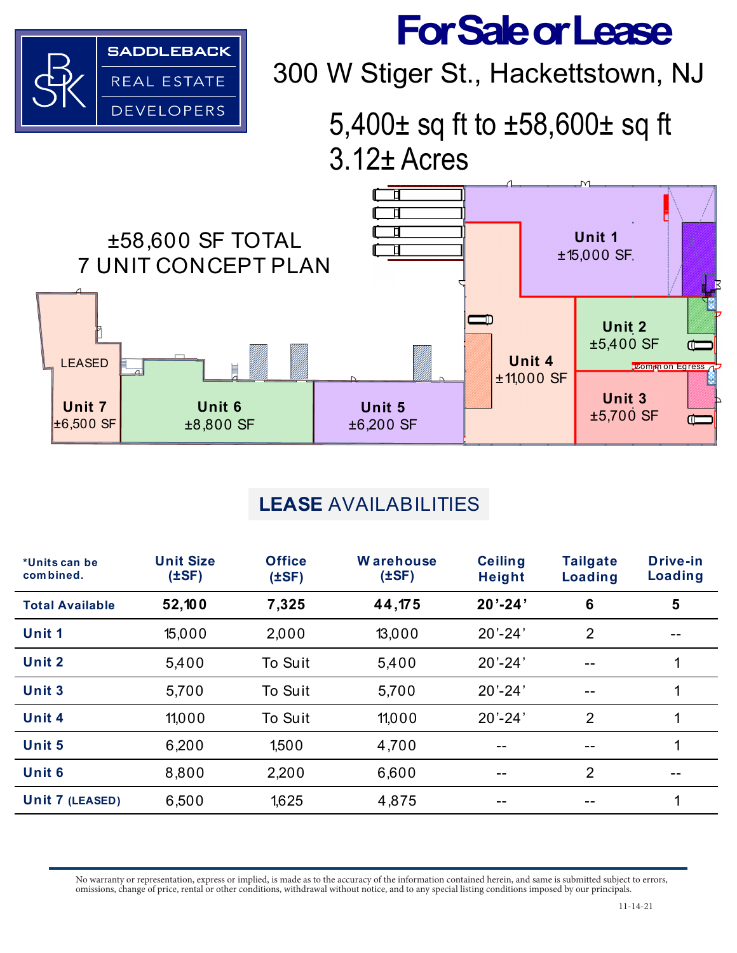

**For Sale or Lease**

300 W Stiger St., Hackettstown, NJ

5,400± sq ft to ±58,600± sq ft 3.12± Acres



### **LEASE** AVAILABILITIES

| *Units can be<br>combined. | <b>Unit Size</b><br>(±SF) | <b>Office</b><br>(±SF) | <b>Warehouse</b><br>$(\pm SF)$ | <b>Ceiling</b><br>Height | <b>Tailgate</b><br>Loading | Drive-in<br><b>Loading</b> |
|----------------------------|---------------------------|------------------------|--------------------------------|--------------------------|----------------------------|----------------------------|
| <b>Total Available</b>     | 52,100                    | 7,325                  | 44,175                         | $20' - 24'$              | 6                          | 5                          |
| Unit 1                     | 15,000                    | 2,000                  | 13,000                         | $20' - 24'$              | $\overline{2}$             | --                         |
| Unit 2                     | 5,400                     | To Suit                | 5,400                          | $20' - 24'$              | $- -$                      | 1                          |
| Unit 3                     | 5,700                     | To Suit                | 5,700                          | $20' - 24'$              | --                         |                            |
| Unit 4                     | 11,000                    | To Suit                | 11,000                         | $20' - 24'$              | 2                          | 1                          |
| Unit 5                     | 6,200                     | 1,500                  | 4,700                          | --                       |                            | 1                          |
| Unit 6                     | 8,800                     | 2,200                  | 6,600                          | --                       | $\overline{2}$             | --                         |
| Unit 7 (LEASED)            | 6,500                     | 1,625                  | 4,875                          | --                       |                            |                            |

No warranty or representation, express or implied, is made as to the accuracy of the information contained herein, and same is submitted subject to errors, omissions, change of price, rental or other conditions, withdrawal without notice, and to any special listing conditions imposed by our principals.